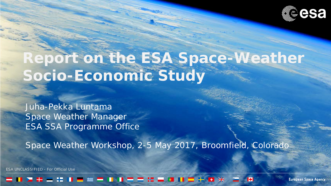

# **Report on the ESA Space-Weather Socio-Economic Study**

Juha-Pekka Luntama Space Weather Manager ESA SSA Programme Office

Space Weather Workshop, 2-5 May 2017, Broomfield, Colorado

ESA UNCLASSIFIED - For Official Use

#### **K3**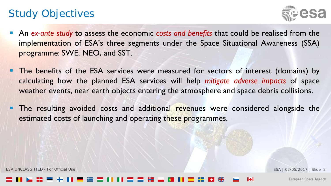### Study Objectives



- An *ex-ante study* to assess the economic *costs and benefits* that could be realised from the implementation of ESA's three segments under the Space Situational Awareness (SSA) programme: SWE, NEO, and SST.
- **The benefits of the ESA services were measured for sectors of interest (domains) by** calculating how the planned ESA services will help *mitigate adverse impacts* of space weather events, near earth objects entering the atmosphere and space debris collisions.
- **The resulting avoided costs and additional revenues were considered alongside the** estimated costs of launching and operating these programmes.

ESA UNCLASSIFIED - For Official Use ESA | 02/05/2017 | Slide 2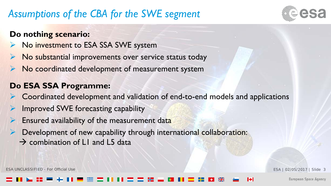## *Assumptions of the CBA for the SWE segment*



#### **Do nothing scenario:**

- No investment to ESA SSA SWE system
- No substantial improvements over service status today
- No coordinated development of measurement system

#### **Do ESA SSA Programme:**

- Coordinated development and validation of end-to-end models and applications
- Improved SWE forecasting capability
- Ensured availability of the measurement data
	- Development of new capability through international collaboration:
	- $\rightarrow$  combination of L1 and L5 data

ESA UNCLASSIFIED - For Official Use ESA | 02/05/2017 | Slide 3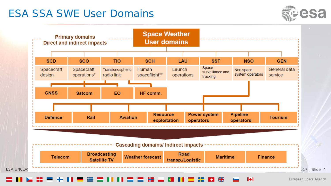#### ESA SSA SWE User Domains



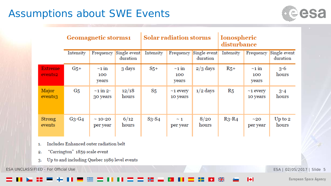### Assumptions about SWE Events



|                                       | <b>Geomagnetic storms1</b> |                             |                          | <b>Solar radiation storms</b> |                             |                          | <b>Ionospheric</b><br>disturbance |                             |                          |
|---------------------------------------|----------------------------|-----------------------------|--------------------------|-------------------------------|-----------------------------|--------------------------|-----------------------------------|-----------------------------|--------------------------|
|                                       | Intensity                  | Frequency                   | Single event<br>duration | Intensity                     | Frequency                   | Single event<br>duration | Intensity                         | Frequency                   | Single event<br>duration |
| <b>Extreme</b><br>events <sub>2</sub> | $G5$ +                     | $\sim$ 1 in<br>100<br>years | 3 days                   | $S_{5+}$                      | $\sim$ 1 in<br>100<br>years | $2/3$ days               | $R_{5+}$                          | $\sim$ 1 in<br>100<br>years | $3 - 6$<br>hours         |
| Major<br>events3                      | G5                         | $\sim$ 1 in 2-<br>30 years  | 12/18<br>hours           | $S_{5}$                       | $\sim$ 1 every<br>10 years  | $1/2$ days               | R <sub>5</sub>                    | $\sim$ 1 every<br>10 years  | $3 - 4$<br>hours         |
| <b>Strong</b><br>events               | $G_3-G_4$                  | $\sim$ 10-20<br>per year    | 6/12<br>hours            | $S_3-S_4$                     | $\sim$ 1<br>per year        | 8/20<br>hours            | $R_3-R_4$                         | $\sim$ 20<br>per year       | Up to $2$<br>hours       |

Includes Enhanced outer radiation belt 1.

- "Carrington" 1859 scale event  $\overline{2}$ .
- Up to and including Quebec 1989 level events  $3.$

ESA UNCLASSIFIED - For Official Use ESA | 02/05/2017 | Slide 5

М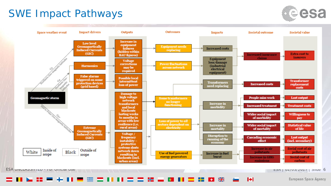### SWE Impact Pathways





#### $\frac{N}{2}$

**European Space Agency** 

 $\blacktriangleright$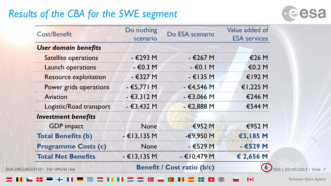## *Results of the CBA for the SWE segment*



|                                                                                                                                                                                                                                                                            | Do nothing     | Do ESA scenario                   | Value added of      |  |
|----------------------------------------------------------------------------------------------------------------------------------------------------------------------------------------------------------------------------------------------------------------------------|----------------|-----------------------------------|---------------------|--|
| <b>Cost/Benefit</b><br><b>User domain benefits</b><br><b>Satellite operations</b><br><b>Launch operations</b><br><b>Resource exploitation</b><br>Power grids operations<br><b>Aviation</b><br><b>Investment benefits</b><br><b>GDP</b> impact<br><b>Total Benefits (b)</b> | scenario       |                                   | <b>ESA</b> services |  |
|                                                                                                                                                                                                                                                                            |                |                                   |                     |  |
|                                                                                                                                                                                                                                                                            | $-$ €293 M     | $-$ €267 M                        | €26 M               |  |
|                                                                                                                                                                                                                                                                            | $-60.3$ M      | $ \epsilon$ 0. $\vert$ M          | €0.2 M              |  |
|                                                                                                                                                                                                                                                                            | $-$ €327 M     | $-$ €135 M                        | €192 $M$            |  |
|                                                                                                                                                                                                                                                                            | $-€5,771$ M    | $-€4,546 M$                       | €1,225 M            |  |
|                                                                                                                                                                                                                                                                            | $-63,312M$     | $-€3,066 M$                       | €246 M              |  |
| Logistic/Road transport                                                                                                                                                                                                                                                    | $-63,432M$     | $-62,888$ M                       | €544 M              |  |
|                                                                                                                                                                                                                                                                            |                |                                   |                     |  |
|                                                                                                                                                                                                                                                                            | <b>None</b>    | €952 M                            | €952 M              |  |
|                                                                                                                                                                                                                                                                            | $-$ €13,135 M  | $-69,950$ M                       | €3,185 M            |  |
| <b>Programme Costs (c)</b>                                                                                                                                                                                                                                                 | <b>None</b>    | $ E529$ M                         | $-6529M$            |  |
| <b>Total Net Benefits</b>                                                                                                                                                                                                                                                  | $- E13, 135 M$ | $- E10,479 M$                     | € 2,656 M           |  |
| ESA UNCLASSIFIED - For Official Use                                                                                                                                                                                                                                        |                | <b>Benefit / Cost ratio (b/c)</b> |                     |  |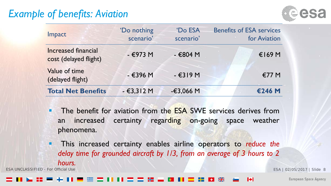### *Example of benefits: Aviation*



| Impact                                              | 'Do nothing<br>scenario' | <b>Do ESA</b><br>scenario' | <b>Benefits of ESA services</b><br>for Aviation |
|-----------------------------------------------------|--------------------------|----------------------------|-------------------------------------------------|
| <b>Increased financial</b><br>cost (delayed flight) | $-€973 M$                | - €804 M                   | $€169$ M                                        |
| Value of time<br>(delayed flight)                   | - €396 M                 | $ E319M$                   | €77 M                                           |
| <b>Total Net Benefits</b>                           | $-€3,312 M$              | $-€3,066 M$                | €246 M                                          |

- **The benefit for aviation from the ESA SWE services derives from** an increased certainty regarding on-going space weather phenomena.
- This increased certainty enables airline operators to *reduce the delay time for grounded aircraft by 1/3, from an average of 3 hours to 2 hours.*

ESA UNCLASSIFIED - For Official Use ESA | 02/05/2017 | Slide 8

#### IФ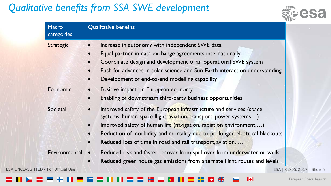## *Qualitative benefits from SSA SWE development*



| <b>Macro</b><br>categories | Qualitative benefits                                                                                                                                                                                                                                                                                                                                                                                         |  |  |  |  |
|----------------------------|--------------------------------------------------------------------------------------------------------------------------------------------------------------------------------------------------------------------------------------------------------------------------------------------------------------------------------------------------------------------------------------------------------------|--|--|--|--|
| <b>Strategic</b>           | Increase in autonomy with independent SWE data<br>$\bullet$<br>Equal partner in data exchange agreements internationally<br>$\bullet$<br>Coordinate design and development of an operational SWE system<br>$\bullet$<br>Push for advances in solar science and Sun-Earth interaction understanding<br>$\bullet$<br>Development of end-to-end modelling capability<br>$\bullet$                               |  |  |  |  |
| Economic                   | Positive impact on European economy<br>$\bullet$<br>Enabling of downstream third-party business opportunities<br>$\bullet$                                                                                                                                                                                                                                                                                   |  |  |  |  |
| Societal                   | Improved safety of the European infrastructure and services (space<br>$\bullet$<br>systems, human space flight, aviation, transport, power systems)<br>Improved safety of human life (navigation, radiation environment,)<br>$\bullet$<br>Reduction of morbidity and mortality due to prolonged electrical blackouts<br>$\bullet$<br>Reduced loss of time in road and rail transport, aviation,<br>$\bullet$ |  |  |  |  |
| Environmental              | Reduced risk and faster recover from spill-over from underwater oil wells<br>$\bullet$<br>Reduced green house gas emissions from alternate flight routes and levels<br>$\bullet$                                                                                                                                                                                                                             |  |  |  |  |

 $\blacktriangleright$  $\frac{N}{N}$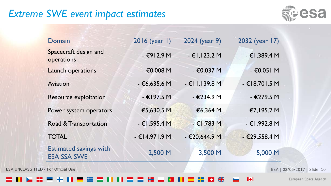### *Extreme SWE event impact estimates*



| Domain                                              | 2016 (year 1)   | 2024 (year 9)  | 2032 (year 17) |                             |
|-----------------------------------------------------|-----------------|----------------|----------------|-----------------------------|
| Spacecraft design and<br>operations                 | $-6912.9M$      | $-E1,123.2M$   | $-€1,389.4 M$  |                             |
| Launch operations                                   | $- €0.008 M$    | - €0.037 M     | $-€0.051 M$    |                             |
| Aviation                                            | $-€6,635.6 M$   | $-E11,139.8 M$ | $-€18,701.5 M$ |                             |
| <b>Resource exploitation</b>                        | $- E197.5 M$    | - €234.9 M     | $-€279.5 M$    |                             |
| Power system operators                              | $-€5,630.5 M$   | $-66,364$ M    | - €7,195.2 M   |                             |
| Road & Transportation                               | - €1,595.4 M    | $-E1,783 M$    | $-€1,992.8 M$  |                             |
| <b>TOTAL</b>                                        | $-$ €14,971.9 M | $-€20,644.9 M$ | $-€29,558.4 M$ |                             |
| <b>Estimated savings with</b><br><b>ESA SSA SWE</b> | 2,500 M         | 3,500 M        | 5,000 M        |                             |
| <b>ESA UNCLASSIFIED - For Official Use</b>          |                 |                |                | ESA   02/05/2017   Slide 10 |

 $\frac{N}{2}$ ÷۱

 $\blacktriangleright$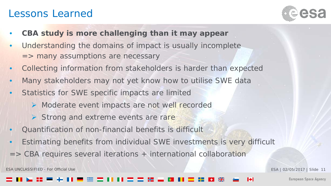#### Lessons Learned



- **CBA study is more challenging than it may appear**
- Understanding the domains of impact is usually incomplete => many assumptions are necessary
- Collecting information from stakeholders is harder than expected
- Many stakeholders may not yet know how to utilise SWE data
- Statistics for SWE specific impacts are limited
	- ▶ Moderate event impacts are not well recorded
	- $\triangleright$  Strong and extreme events are rare
- Quantification of non-financial benefits is difficult
- Estimating benefits from individual SWE investments is very difficult
- => CBA requires several iterations + international collaboration

ESA UNCLASSIFIED - For Official Use **ESA | 02/05/2017 | Slide 11**